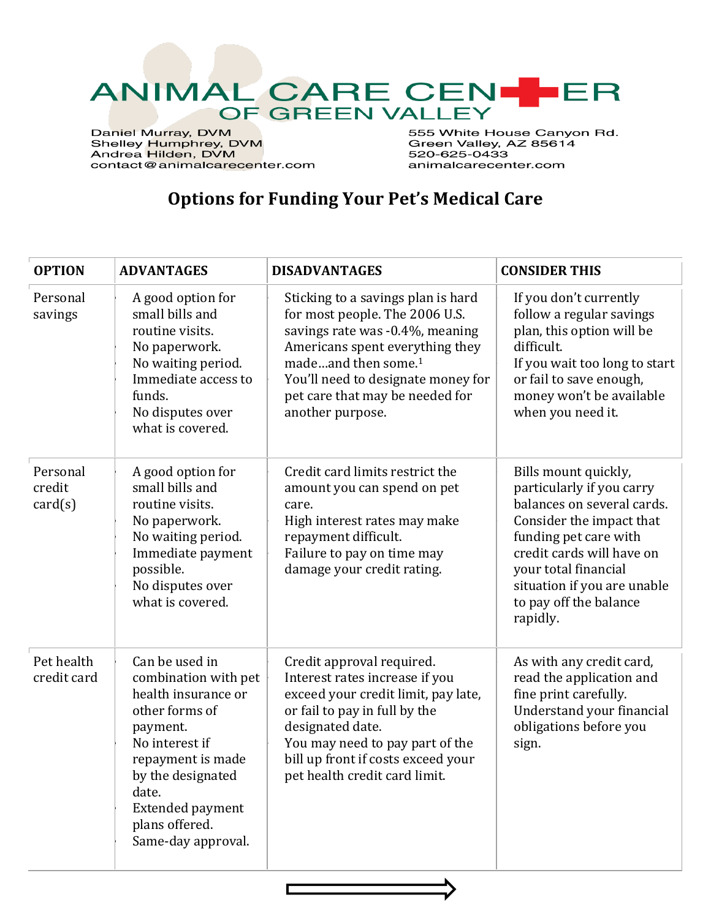

Daniel Murray, DVM<br>Shelley Humphrey, DVM<br>Andrea Hilden, DVM contact@animalcarecenter.com 555 White House Canyon Rd. Green Valley, AZ 85614 520-625-0433 animalcarecenter.com

## **Options for Funding Your Pet's Medical Care**

| <b>OPTION</b>                 | <b>ADVANTAGES</b>                                                                                                                                                                                                                   | <b>DISADVANTAGES</b>                                                                                                                                                                                                                                                       | <b>CONSIDER THIS</b>                                                                                                                                                                                                                                           |
|-------------------------------|-------------------------------------------------------------------------------------------------------------------------------------------------------------------------------------------------------------------------------------|----------------------------------------------------------------------------------------------------------------------------------------------------------------------------------------------------------------------------------------------------------------------------|----------------------------------------------------------------------------------------------------------------------------------------------------------------------------------------------------------------------------------------------------------------|
| Personal<br>savings           | A good option for<br>small bills and<br>routine visits.<br>No paperwork.<br>No waiting period.<br>Immediate access to<br>funds.<br>No disputes over<br>what is covered.                                                             | Sticking to a savings plan is hard<br>for most people. The 2006 U.S.<br>savings rate was -0.4%, meaning<br>Americans spent everything they<br>madeand then some. <sup>1</sup><br>You'll need to designate money for<br>pet care that may be needed for<br>another purpose. | If you don't currently<br>follow a regular savings<br>plan, this option will be<br>difficult.<br>If you wait too long to start<br>or fail to save enough,<br>money won't be available<br>when you need it.                                                     |
| Personal<br>credit<br>card(s) | A good option for<br>small bills and<br>routine visits.<br>No paperwork.<br>No waiting period.<br>Immediate payment<br>possible.<br>No disputes over<br>what is covered.                                                            | Credit card limits restrict the<br>amount you can spend on pet<br>care.<br>High interest rates may make<br>repayment difficult.<br>Failure to pay on time may<br>damage your credit rating.                                                                                | Bills mount quickly,<br>particularly if you carry<br>balances on several cards.<br>Consider the impact that<br>funding pet care with<br>credit cards will have on<br>your total financial<br>situation if you are unable<br>to pay off the balance<br>rapidly. |
| Pet health<br>credit card     | Can be used in<br>combination with pet<br>health insurance or<br>other forms of<br>payment.<br>No interest if<br>repayment is made<br>by the designated<br>date.<br><b>Extended payment</b><br>plans offered.<br>Same-day approval. | Credit approval required.<br>Interest rates increase if you<br>exceed your credit limit, pay late,<br>or fail to pay in full by the<br>designated date.<br>You may need to pay part of the<br>bill up front if costs exceed your<br>pet health credit card limit.          | As with any credit card,<br>read the application and<br>fine print carefully.<br>Understand your financial<br>obligations before you<br>sign.                                                                                                                  |